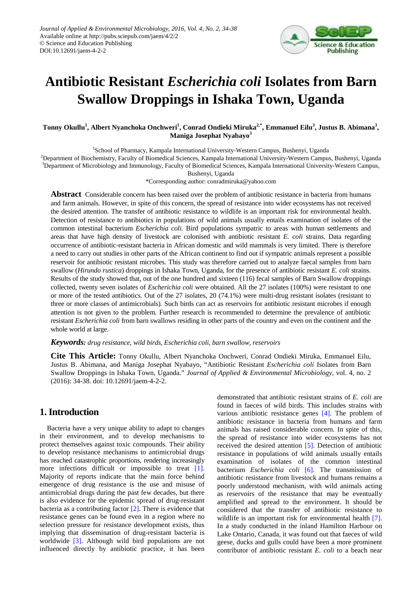

# **Antibiotic Resistant** *Escherichia coli* **Isolates from Barn Swallow Droppings in Ishaka Town, Uganda**

 $\pi$ Onny Okullu<sup>1</sup>, Albert Nyanchoka Onchweri<sup>1</sup>, Conrad Ondieki Miruka<sup>2,\*</sup>, Emmanuel Eilu<sup>3</sup>, Justus B. Abimana<sup>3</sup>, **Maniga Josephat Nyabayo<sup>3</sup>**

<sup>1</sup>School of Pharmacy, Kampala International University-Western Campus, Bushenyi, Uganda <sup>2</sup>Department of Biochemistry, Faculty of Biomedical Sciences, Kampala International University-Western Campus, Bushenyi, Uganda <sup>3</sup>Department of Microbiology and Immunology, Faculty of Biomedical Sciences, Kampala International University-Western Campus,

Bushenyi, Uganda

\*Corresponding author: conradmiruka@yahoo.com

**Abstract** Considerable concern has been raised over the problem of antibiotic resistance in bacteria from humans and farm animals. However, in spite of this concern, the spread of resistance into wider ecosystems has not received the desired attention. The transfer of antibiotic resistance to wildlife is an important risk for environmental health. Detection of resistance to antibiotics in populations of wild animals usually entails examination of isolates of the common intestinal bacterium *Escherichia coli.* Bird populations sympatric to areas with human settlements and areas that have high density of livestock are colonised with antibiotic resistant *E. coli* strains. Data regarding occurrence of antibiotic-resistant bacteria in African domestic and wild mammals is very limited. There is therefore a need to carry out studies in other parts of the African continent to find out if sympatric animals represent a possible reservoir for antibiotic resistant microbes. This study was therefore carried out to analyze faecal samples from barn swallow (*Hirundo rustica*) droppings in Ishaka Town, Uganda, for the presence of antibiotic resistant *E. coli* strains. Results of the study showed that, out of the one hundred and sixteen (116) fecal samples of Barn Swallow droppings collected, twenty seven isolates of *Escherichia coli* were obtained. All the 27 isolates (100%) were resistant to one or more of the tested antibiotics. Out of the 27 isolates, 20 (74.1%) were multi-drug resistant isolates (resistant to three or more classes of antimicrobials). Such birds can act as reservoirs for antibiotic resistant microbes if enough attention is not given to the problem. Further research is recommended to determine the prevalence of antibiotic resistant *Escherichia coli* from barn swallows residing in other parts of the country and even on the continent and the whole world at large.

#### *Keywords: drug resistance, wild birds, Escherichia coli, barn swallow, reservoirs*

**Cite This Article:** Tonny Okullu, Albert Nyanchoka Onchweri, Conrad Ondieki Miruka, Emmanuel Eilu, Justus B. Abimana, and Maniga Josephat Nyabayo, "Antibiotic Resistant *Escherichia coli* Isolates from Barn Swallow Droppings in Ishaka Town, Uganda." *Journal of Applied & Environmental Microbiology*, vol. 4, no. 2 (2016): 34-38. doi: 10.12691/jaem-4-2-2.

# **1. Introduction**

Bacteria have a very unique ability to adapt to changes in their environment, and to develop mechanisms to protect themselves against toxic compounds. Their ability to develop resistance mechanisms to antimicrobial drugs has reached catastrophic proportions, rendering increasingly more infections difficult or impossible to treat [\[1\].](#page-3-0) Majority of reports indicate that the main force behind emergence of drug resistance is the use and misuse of antimicrobial drugs during the past few decades, but there is also evidence for the epidemic spread of drug-resistant bacteria as a contributing factor [\[2\].](#page-3-1) There is evidence that resistance genes can be found even in a region where no selection pressure for resistance development exists, thus implying that dissemination of drug-resistant bacteria is worldwide [\[3\].](#page-3-2) Although wild bird populations are not influenced directly by antibiotic practice, it has been demonstrated that antibiotic resistant strains of *E. coli* are found in faeces of wild birds. This includes strains with various antibiotic resistance genes [\[4\].](#page-3-3) The problem of antibiotic resistance in bacteria from humans and farm animals has raised considerable concern. In spite of this, the spread of resistance into wider ecosystems has not received the desired attention [\[5\].](#page-3-4) Detection of antibiotic resistance in populations of wild animals usually entails examination of isolates of the common intestinal bacterium *Escherichia coli* [\[6\].](#page-3-5) The transmission of antibiotic resistance from livestock and humans remains a poorly understood mechanism, with wild animals acting as reservoirs of the resistance that may be eventually amplified and spread to the environment. It should be considered that the transfer of antibiotic resistance to wildlife is an important risk for environmental health [\[7\].](#page-3-6) In a study conducted in the inland Hamilton Harbour on Lake Ontario, Canada, it was found out that faeces of wild geese, ducks and gulls could have been a more prominent contributor of antibiotic resistant *E. coli* to a beach near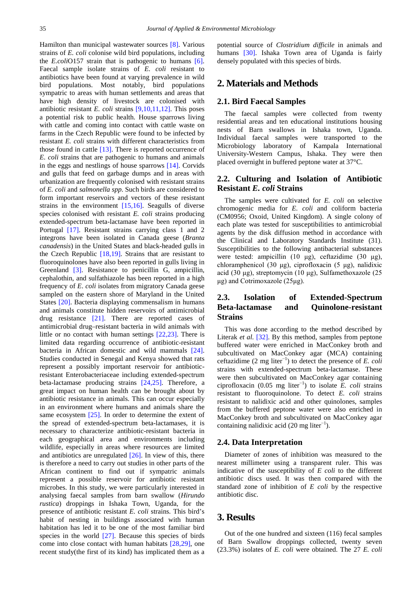Hamilton than municipal wastewater sources [\[8\].](#page-3-7) Various strains of *E. coli* colonise wild bird populations, including the *E.coli*O157 strain that is pathogenic to humans [\[6\].](#page-3-5) Faecal sample isolate strains of *E. coli* resistant to antibiotics have been found at varying prevalence in wild bird populations. Most notably, bird populations sympatric to areas with human settlements and areas that have high density of livestock are colonised with antibiotic resistant *E. coli* strains [\[9,10,11,12\].](#page-3-8) This poses a potential risk to public health. House sparrows living with cattle and coming into contact with cattle waste on farms in the Czech Republic were found to be infected by resistant *E. coli* strains with different characteristics from those found in cattle  $[13]$ . There is reported occurrence of *E. coli* strains that are pathogenic to humans and animals in the eggs and nestlings of house sparrows [\[14\].](#page-3-10) Corvids and gulls that feed on garbage dumps and in areas with urbanization are frequently colonised with resistant strains of *E. coli* and *salmonella spp*. Such birds are considered to form important reservoirs and vectors of these resistant strains in the environment [\[15,16\].](#page-3-11) Seagulls of diverse species colonised with resistant *E. coli* strains producing extended-spectrum beta-lactamase have been reported in Portugal [\[17\].](#page-3-12) Resistant strains carrying class 1 and 2 integrons have been isolated in Canada geese (*Branta canadensis*) in the United States and black-headed gulls in the Czech Republic [\[18,19\].](#page-3-13) Strains that are resistant to fluoroquinolones have also been reported in gulls living in Greenland [\[3\].](#page-3-2) Resistance to penicillin G, ampicillin, cephalothin, and sulfathiazole has been reported in a high frequency of *E*. *coli* isolates from migratory Canada geese sampled on the eastern shore of Maryland in the United States [\[20\].](#page-4-0) Bacteria displaying commensalism in humans and animals constitute hidden reservoirs of antimicrobial drug resistance [\[21\].](#page-4-1) There are reported cases of antimicrobial drug–resistant bacteria in wild animals with little or no contact with human settings [\[22,23\].](#page-4-2) There is limited data regarding occurrence of antibiotic-resistant bacteria in African domestic and wild mammals [\[24\].](#page-4-3) Studies conducted in Senegal and Kenya showed that rats represent a possibly important reservoir for antibioticresistant Enterobacteriaceae including extended-spectrum beta-lactamase producing strains [\[24,25\].](#page-4-3) Therefore, a great impact on human health can be brought about by antibiotic resistance in animals. This can occur especially in an environment where humans and animals share the same ecosystem [\[25\].](#page-4-4) In order to determine the extent of the spread of extended-spectrum beta-lactamases, it is necessary to characterize antibiotic-resistant bacteria in each geographical area and environments including wildlife, especially in areas where resources are limited and antibiotics are unregulated  $[26]$ . In view of this, there is therefore a need to carry out studies in other parts of the African continent to find out if sympatric animals represent a possible reservoir for antibiotic resistant microbes. In this study, we were particularly interested in analysing faecal samples from barn swallow (*Hirundo rustica*) droppings in Ishaka Town, Uganda, for the presence of antibiotic resistant *E. coli* strains. This bird's habit of nesting in buildings associated with human habitation has led it to be one of the most familiar bird species in the world [\[27\].](#page-4-6) Because this species of birds come into close contact with human habitats [\[28,29\],](#page-4-7) one recent study(the first of its kind) has implicated them as a

potential source of *Clostridium difficile* in animals and humans [\[30\].](#page-4-8) Ishaka Town area of Uganda is fairly densely populated with this species of birds.

## **2. Materials and Methods**

#### **2.1. Bird Faecal Samples**

The faecal samples were collected from twenty residential areas and ten educational institutions housing nests of Barn swallows in Ishaka town, Uganda. Individual faecal samples were transported to the Microbiology laboratory of Kampala International University-Western Campus, Ishaka. They were then placed overnight in buffered peptone water at 37°C.

### **2.2. Culturing and Isolation of Antibiotic Resistant** *E. coli* **Strains**

The samples were cultivated for *E. coli* on selective chromogenic media for *E. coli* and coliform bacteria (CM0956; Oxoid, United Kingdom). A single colony of each plate was tested for susceptibilities to antimicrobial agents by the disk diffusion method in accordance with the Clinical and Laboratory Standards Institute (31). Susceptibilities to the following antibacterial substances were tested: ampicillin (10 μg), ceftazidime (30 μg), chloramphenicol (30 μg), ciprofloxacin (5 μg), nalidixic acid (30 μg), streptomycin (10 μg), Sulfamethoxazole (25 μg) and Cotrimoxazole (25μg).

## **2.3. Isolation of Extended-Spectrum Beta-lactamase and Quinolone-resistant Strains**

This was done according to the method described by Literak *et al.* [\[32\].](#page-4-9) By this method, samples from peptone buffered water were enriched in MacConkey broth and subcultivated on MacConkey agar (MCA) containing ceftazidime (2 mg liter<sup>−</sup><sup>1</sup> ) to detect the presence of *E. coli*  strains with extended-spectrum beta-lactamase. These were then subcultivated on MacConkey agar containing ciprofloxacin (0.05 mg liter<sup>−</sup><sup>1</sup> ) to isolate *E. coli* strains resistant to fluoroquinolone. To detect *E. coli* strains resistant to nalidixic acid and other quinolones, samples from the buffered peptone water were also enriched in MacConkey broth and subcultivated on MacConkey agar containing nalidixic acid (20 mg liter $^{-1}$ ).

#### **2.4. Data Interpretation**

Diameter of zones of inhibition was measured to the nearest millimeter using a transparent ruler. This was indicative of the susceptibility of *E coli* to the different antibiotic discs used. It was then compared with the standard zone of inhibition of *E coli* by the respective antibiotic disc.

## **3. Results**

Out of the one hundred and sixteen (116) fecal samples of Barn Swallow droppings collected, twenty seven (23.3%) isolates of *E. coli* were obtained. The 27 *E. coli*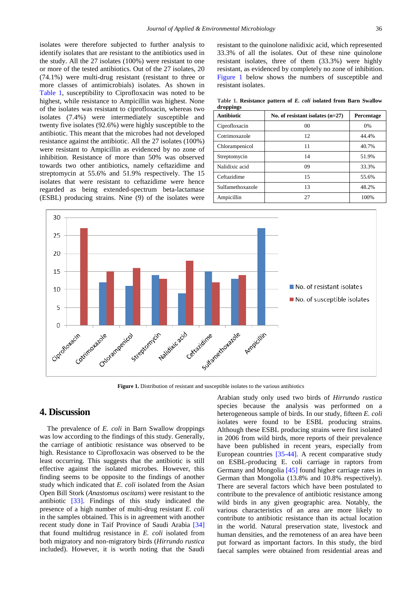isolates were therefore subjected to further analysis to identify isolates that are resistant to the antibiotics used in the study. All the 27 isolates (100%) were resistant to one or more of the tested antibiotics. Out of the 27 isolates, 20 (74.1%) were multi-drug resistant (resistant to three or more classes of antimicrobials) isolates. As shown in [Table 1,](#page-2-0) susceptibility to Ciprofloxacin was noted to be highest, while resistance to Ampicillin was highest. None of the isolates was resistant to ciprofloxacin, whereas two isolates (7.4%) were intermediately susceptible and twenty five isolates (92.6%) were highly susceptible to the antibiotic. This meant that the microbes had not developed resistance against the antibiotic. All the 27 isolates (100%) were resistant to Ampicillin as evidenced by no zone of inhibition. Resistance of more than 50% was observed towards two other antibiotics, namely ceftazidime and streptomycin at 55.6% and 51.9% respectively. The 15 isolates that were resistant to ceftazidime were hence regarded as being extended-spectrum beta-lactamase (ESBL) producing strains. Nine (9) of the isolates were

resistant to the quinolone nalidixic acid, which represented 33.3% of all the isolates. Out of these nine quinolone resistant isolates, three of them (33.3%) were highly resistant, as evidenced by completely no zone of inhibition. [Figure 1](#page-2-1) below shows the numbers of susceptible and resistant isolates.

**Table 1. Resistance pattern of** *E. coli* **isolated from Barn Swallow droppings**

<span id="page-2-0"></span>

| <b>Antibiotic</b> | No. of resistant isolates $(n=27)$ | Percentage |
|-------------------|------------------------------------|------------|
| Ciprofloxacin     | 0 <sup>0</sup>                     | 0%         |
| Cotrimoxazole     | 12                                 | 44.4%      |
| Chlorampenicol    | 11                                 | 40.7%      |
| Streptomycin      | 14                                 | 51.9%      |
| Nalidixic acid    | 09                                 | 33.3%      |
| Ceftazidime       | 15                                 | 55.6%      |
| Sulfamethoxazole  | 13                                 | 48.2%      |
| Ampicillin        | 27                                 | 100%       |

<span id="page-2-1"></span>

Figure 1. Distribution of resistant and susceptible isolates to the various antibiotics

# **4. Discussion**

The prevalence of *E. coli* in Barn Swallow droppings was low according to the findings of this study. Generally, the carriage of antibiotic resistance was observed to be high. Resistance to Ciprofloxacin was observed to be the least occurring. This suggests that the antibiotic is still effective against the isolated microbes. However, this finding seems to be opposite to the findings of another study which indicated that *E. coli* isolated from the Asian Open Bill Stork (*Anastomus oscitans*) were resistant to the antibiotic [\[33\].](#page-4-10) Findings of this study indicated the presence of a high number of multi-drug resistant *E. coli* in the samples obtained. This is in agreement with another recent study done in Taif Province of Saudi Arabia [\[34\]](#page-4-11) that found multidrug resistance in *E. coli* isolated from both migratory and non-migratory birds (*Hirrundo rustica* included). However, it is worth noting that the Saudi

Arabian study only used two birds of *Hirrundo rustica* species because the analysis was performed on a heterogeneous sample of birds. In our study, fifteen *E. coli*  isolates were found to be ESBL producing strains. Although these ESBL producing strains were first isolated in 2006 from wild birds, more reports of their prevalence have been published in recent years, especially from European countries [\[35-44\].](#page-4-12) A recent comparative study on ESBL-producing E. coli carriage in raptors from Germany and Mongolia [\[45\]](#page-4-13) found higher carriage rates in German than Mongolia (13.8% and 10.8% respectively). There are several factors which have been postulated to contribute to the prevalence of antibiotic resistance among wild birds in any given geographic area. Notably, the various characteristics of an area are more likely to contribute to antibiotic resistance than its actual location in the world. Natural preservation state, livestock and human densities, and the remoteness of an area have been put forward as important factors. In this study, the bird faecal samples were obtained from residential areas and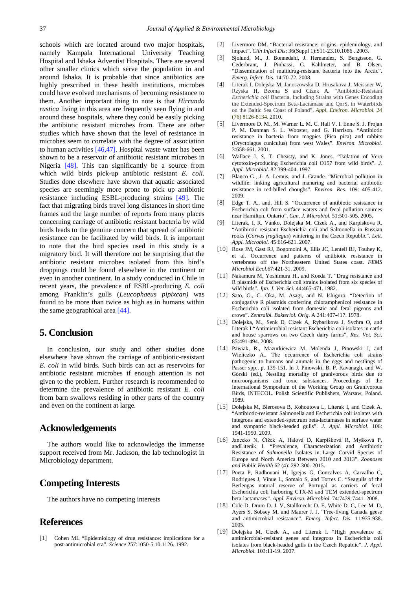schools which are located around two major hospitals, namely Kampala International University Teaching Hospital and Ishaka Adventist Hospitals. There are several other smaller clinics which serve the population in and around Ishaka. It is probable that since antibiotics are highly prescribed in these health institutions, microbes could have evolved mechanisms of becoming resistance to them. Another important thing to note is that *Hirrundo rustica* living in this area are frequently seen flying in and around these hospitals, where they could be easily picking the antibiotic resistant microbes from. There are other studies which have shown that the level of resistance in microbes seem to correlate with the degree of association to human activities [\[46,47\].](#page-4-14) Hospital waste water has been shown to be a reservoir of antibiotic resistant microbes in Nigeria [\[48\].](#page-4-15) This can significantly be a source from which wild birds pick-up antibiotic resistant *E. coli.*  Studies done elsewhere have shown that aquatic associated species are seemingly more prone to pick up antibiotic resistance including ESBL-producing strains [\[49\].](#page-4-16) The fact that migrating birds travel long distances in short time frames and the large number of reports from many places concerning carriage of antibiotic resistant bacteria by wild birds leads to the genuine concern that spread of antibiotic resistance can be facilitated by wild birds. It is important to note that the bird species used in this study is a migratory bird. It will therefore not be surprising that the antibiotic resistant microbes isolated from this bird's droppings could be found elsewhere in the continent or even in another continent. In a study conducted in Chile in recent years, the prevalence of ESBL-producing *E. coli* among Franklin's gulls (*Leucophaeus pipixcan)* was found to be more than twice as high as in humans within the same geographical area [\[44\].](#page-4-17)

## **5. Conclusion**

In conclusion, our study and other studies done elsewhere have shown the carriage of antibiotic-resistant *E. coli* in wild birds. Such birds can act as reservoirs for antibiotic resistant microbes if enough attention is not given to the problem. Further research is recommended to determine the prevalence of antibiotic resistant *E. coli* from barn swallows residing in other parts of the country and even on the continent at large.

## **Acknowledgements**

The authors would like to acknowledge the immense support received from Mr. Jackson, the lab technologist in Microbiology department.

# **Competing Interests**

The authors have no competing interests

## **References**

<span id="page-3-0"></span>[1] Cohen ML "Epidemiology of drug resistance: implications for a post-antimicrobial era". *Science* 257:1050-5.10.1126. 1992.

- <span id="page-3-1"></span>[2] Livermore DM. "Bacterial resistance: origins, epidemiology, and impact". *Clin Infect Dis*; 36(Suppl 1):S11-23.10.1086 . 2003.
- <span id="page-3-2"></span>[3] Sjolund, M., J. Bonnedahl, J. Hernandez, S. Bengtsson, G. Cederbrant, J. Pinhassi, G. Kahlmeter, and B. Olsen. "Dissemination of multidrug-resistant bacteria into the Arctic". *Emerg. Infect. Dis*. 14:70-72. 2008.
- <span id="page-3-3"></span>[4] Literak I, Dolejska M, Janoszowska D, Hrusakova J, Meissner W, Rzyska H, Bzoma S and Cizek A. "Antibiotic-Resistant *Escherichia coli* Bacteria, Including Strains with Genes Encoding the Extended-Spectrum Beta-Lactamase and QnrS, in Waterbirds on the Baltic Sea Coast of Poland". *Appl. Environ. Microbiol.* 24 (76) 8126-8134. 2010.
- <span id="page-3-4"></span>[5] Livermore D. M., M. Warner L. M. C. Hall V. I. Enne S. J. Projan P. M. Dunman S. L. Wooster, and G. Harrison. "Antibiotic resistance in bacteria from magpies (Pica pica) and rabbits (Oryctolagus cuniculus) from west Wales". *Environ. Microbiol.* 3:658-661. 2001.
- <span id="page-3-5"></span>[6] Wallace J. S, T. Cheasty, and K. Jones. "Isolation of Vero cytotoxin-producing Escherichia coli O157 from wild birds". *J. Appl. Microbiol.* 82:399-404. 1997
- <span id="page-3-6"></span>[7] Blanco G., J. A. Lemus, and J. Grande. "Microbial pollution in wildlife: linking agricultural manuring and bacterial antibiotic resistance in red-billed choughs". *Environ. Res*. 109: 405-412. 2009.
- <span id="page-3-7"></span>[8] Edge T. A., and. Hill S. "Occurrence of antibiotic resistance in Escherichia coli from surface waters and fecal pollution sources near Hamilton, Ontario". *Can. J. Microbiol.* 51:501-505. 2005.
- <span id="page-3-8"></span>[9] Literak, I, R. Vanko, Dolejska M, Cizek A., and Karpiskova R. "Antibiotic resistant Escherichia coli and Salmonella in Russian rooks (*Corvus frugilegus*) wintering in the Czech Republic". *Lett. Appl. Microbiol.* 45:616-621. 2007.
- [10] Rose JM, Gast RJ, Bogomolni A, Ellis JC, Lentell BJ, Touhey K, et al. Occurrence and patterns of antibiotic resistance in vertebrates off the Northeastern United States coast. *FEMS Microbiol Ecol*.67:421-31. 2009.
- [11] Nakamura M, Yoshimura H., and Koeda T. "Drug resistance and R plasmids of Escherichia coli strains isolated from six species of wild birds". *Jpn. J. Vet. Sci.* 44:465-471. 1982.
- [12] Sato, G., C. Oka, M. Asagi, and N. Ishiguro. "Detection of conjugative R plasmids conferring chloramphenicol resistance in Escherichia coli isolated from domestic and feral pigeons and crows". *Zentralbl. Bakteriol. Orig*. A 241:407-417. 1978.
- <span id="page-3-9"></span>[13] Dolejska, M., Senk D, Cizek A, Rybarikova J, Sychra O, and Literak I."Antimicrobial resistant Escherichia coli isolates in cattle and house sparrows on two Czech dairy farms". *Res. Vet. Sci.* 85:491-494. 2008.
- <span id="page-3-10"></span>[14] Pawiak, R., Mazurkiewicz M, Molenda J, Pinowski J, and Wieliczko A.. The occurrence of Escherichia coli strains pathogenic to humans and animals in the eggs and nestlings of Passer spp., p. 139-151. In J. Pinowski, B. P. Kavanagh, and W. Górski (ed.), Nestling mortality of granivorous birds due to microorganisms and toxic substances. Proceedings of the International Symposium of the Working Group on Granivorous Birds, INTECOL. Polish Scientific Publishers, Warsaw, Poland. 1989.
- <span id="page-3-11"></span>[15] Dolejska M, Bierosova B, Kohoutova L, Literak I, and Cizek A. "Antibiotic-resistant Salmonella and Escherichia coli isolates with integrons and extended-spectrum beta-lactamases in surface water and sympatric black-headed gulls". *J. Appl. Microbiol.* 106: 1941-1950. 2009.
- [16] Janecko N, Čížek A, Halová D, Karpíšková R, Myšková P, andLiterák I. "Prevalence, Characterization and Antibiotic Resistance of *Salmonella* Isolates in Large Corvid Species of Europe and North America Between 2010 and 2013". *Zoonoses and Public Health* 62 (4): 292-300. 2015.
- <span id="page-3-12"></span>[17] Poeta P, Radhouani H, Igrejas G, Goncalves A, Carvalho C, Rodrigues J, Vinue L, Somalo S, and Torres C. "Seagulls of the Berlengas natural reserve of Portugal as carriers of fecal Escherichia coli harboring CTX-M and TEM extended-spectrum beta-lactamases". *Appl. Environ. Microbiol.* 74:7439-7441. 2008.
- <span id="page-3-13"></span>[18] Cole D, Drum D. J. V, Stallknecht D. E, White D. G, Lee M. D, Ayers S, Sobsey M, and Maurer J. J. "Free-living Canada geese and antimicrobial resistance". *Emerg. Infect. Dis.* 11:935-938. 2005.
- [19] Dolejska M, Cizek A., and Literak I. "High prevalence of antimicrobial-resistant genes and integrons in Escherichia coli isolates from black-headed gulls in the Czech Republic". *J. Appl. Microbiol.* 103:11-19. 2007.